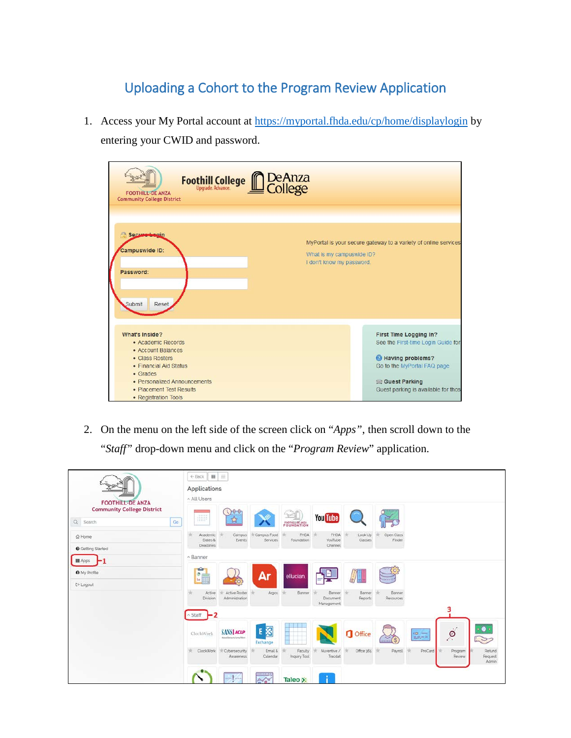## Uploading a Cohort to the Program Review Application

1. Access your My Portal account at<https://myportal.fhda.edu/cp/home/displaylogin> by entering your CWID and password.

| Foothill College <b>no De Anza</b><br><b>FOOTHILL-DE ANZA</b><br><b>Community College District</b>                                                                                                      |                                                                                                                                                                          |
|---------------------------------------------------------------------------------------------------------------------------------------------------------------------------------------------------------|--------------------------------------------------------------------------------------------------------------------------------------------------------------------------|
| Secure Legin<br>咼<br><b>Campuswide ID:</b><br>Password:<br>Submit<br>Reset                                                                                                                              | MyPortal is your secure gateway to a variety of online services<br>What is my campuswide ID?<br>I don't know my password.                                                |
| What's Inside?<br>• Academic Records<br>• Account Balances<br>• Class Rosters<br>• Financial Aid Status<br>• Grades<br>• Personalized Announcements<br>• Placement Test Results<br>• Registration Tools | First Time Logging In?<br>See the First-time Login Guide for<br>Having problems?<br>Go to the MyPortal FAQ page<br>Guest Parking<br>Guest parking is available for those |

2. On the menu on the left side of the screen click on "*Apps"*, then scroll down to the "*Staff"* drop-down menu and click on the "*Program Review*" application.

|                                                                                            | 田三<br>← Back<br>Applications<br>^ All Users                                                                                                                                                                               |  |  |  |  |  |  |  |
|--------------------------------------------------------------------------------------------|---------------------------------------------------------------------------------------------------------------------------------------------------------------------------------------------------------------------------|--|--|--|--|--|--|--|
| <b>FOOTHILL-DE ANZA</b><br><b>Community College District</b><br>$\hbox{Q}$<br>Go<br>Search | 000<br>900000000<br><b>You Tube</b><br>illi<br>容<br>FOUNDATION                                                                                                                                                            |  |  |  |  |  |  |  |
| @ Home<br><b>O</b> Getting Started                                                         | Campus Food<br><b>FHDA</b><br>Look Up<br>Open Class<br>Academic<br>Campus<br>FHDA<br>Dates &<br>Events<br>Services<br>Foundation<br>YouTube<br>Classes<br>Finder<br><b>Deadlines</b><br>Channel                           |  |  |  |  |  |  |  |
| <b>III</b> Apps                                                                            | ^ Banner                                                                                                                                                                                                                  |  |  |  |  |  |  |  |
| <b>O</b> My Profile<br>C→ Logout                                                           | <b>SGP</b><br>Ar<br>$\frac{1}{2}$<br>ellucian<br>lo.<br>$\ln$                                                                                                                                                             |  |  |  |  |  |  |  |
|                                                                                            | Active Roster<br>Banner<br>Active<br>Hr.<br>Banner<br>Banner<br>Argos<br>Banner<br>Division<br>Administration<br>Reports<br>Resources<br>Document<br>Management<br>3                                                      |  |  |  |  |  |  |  |
|                                                                                            | $-2$<br>Staff                                                                                                                                                                                                             |  |  |  |  |  |  |  |
|                                                                                            | $\bullet$<br><b>E 图</b><br>$\beta$<br><b>SANS ACLP</b><br><b>O</b> Office<br>ClockWork<br>$\omega -$<br>出版产品<br>Manufillerance Lancy Robert<br>- 2<br>111111<br>Exchange                                                  |  |  |  |  |  |  |  |
|                                                                                            | Nuventive<br>Office 366<br>Refund<br>ClockWork<br>HE.<br>Payroll<br><b>In Cybersecurity</b><br>Email &<br>Faculty<br>ProCard<br>Program<br>Inquiry Tool<br>Tracdat<br>Calendar<br>Review<br>Request<br>Awareness<br>Admin |  |  |  |  |  |  |  |
|                                                                                            | <b>BEFEREEFEE</b><br>Я<br>min fine<br>20 <sup>2</sup><br>Taleo X                                                                                                                                                          |  |  |  |  |  |  |  |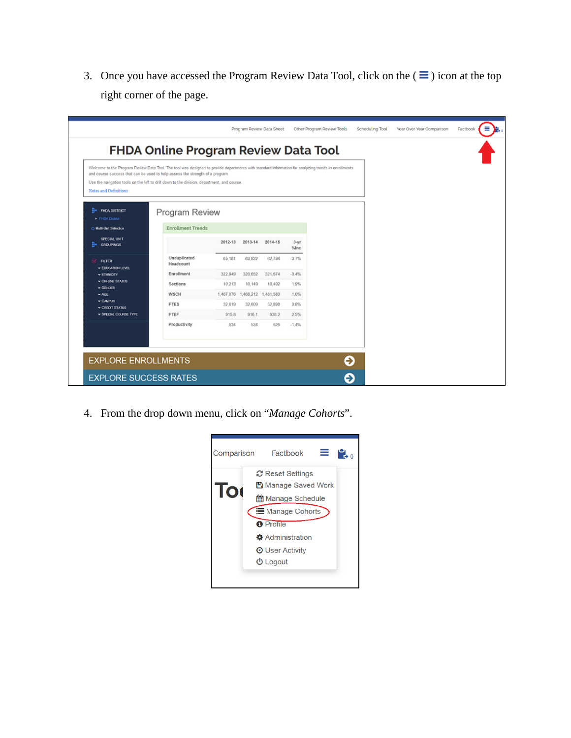3. Once you have accessed the Program Review Data Tool, click on the  $(\equiv)$  icon at the top right corner of the page.

| Welcome to the Program Review Data Tool. The tool was designed to provide departments with standard information for analyzing trends in enrollments<br>and course success that can be used to help assess the strength of a program.<br>Use the navigation tools on the left to drill down to the division, department, and course. |                           |         |                                 |         |                |  |  |
|-------------------------------------------------------------------------------------------------------------------------------------------------------------------------------------------------------------------------------------------------------------------------------------------------------------------------------------|---------------------------|---------|---------------------------------|---------|----------------|--|--|
| Notes and Definitions                                                                                                                                                                                                                                                                                                               |                           |         |                                 |         |                |  |  |
| <b>B</b> e FHDA DISTRICT<br><b>• FHDA District</b>                                                                                                                                                                                                                                                                                  | Program Review            |         |                                 |         |                |  |  |
| O Multi-Unit Selection                                                                                                                                                                                                                                                                                                              | <b>Enrollment Trends</b>  |         |                                 |         |                |  |  |
| SPECIAL UNIT<br><b>GROUPINGS</b>                                                                                                                                                                                                                                                                                                    |                           | 2012-13 | 2013-14                         | 2014-15 | $3-yr$<br>%Inc |  |  |
| Q.<br><b>FILTER</b><br><b>V EDUCATION LEVEL</b>                                                                                                                                                                                                                                                                                     | Unduplicated<br>Headcount | 65,181  | 63,822                          | 62,794  | $-3.7%$        |  |  |
| <b>v ETHNICITY</b>                                                                                                                                                                                                                                                                                                                  | Enrollment                | 322,949 | 320,652                         | 321,674 | $-0.4%$        |  |  |
| <b>v ON-LINE STATUS</b><br>$\vee$ GENDER                                                                                                                                                                                                                                                                                            | Sections                  | 10,213  | 10,149                          | 10,402  | 1.9%           |  |  |
| $\vee$ AGE                                                                                                                                                                                                                                                                                                                          | WSCH                      |         | 1,467,076  1,468,212  1,481,583 |         | 1.0%           |  |  |
| $\sim$ CAMPUS<br><b>v CREDIT STATUS</b>                                                                                                                                                                                                                                                                                             | <b>FTES</b>               | 32,619  | 32,609                          | 32,890  | 0.8%           |  |  |
| <b>v SPECIAL COURSE TYPE</b>                                                                                                                                                                                                                                                                                                        | FTEF                      | 915.8   | 916.1                           | 9382    | 2.5%           |  |  |
|                                                                                                                                                                                                                                                                                                                                     | Productivity              | 534     | 534                             | 526     | $-1.4%$        |  |  |
|                                                                                                                                                                                                                                                                                                                                     |                           |         |                                 |         |                |  |  |

4. From the drop down menu, click on "*Manage Cohorts*".

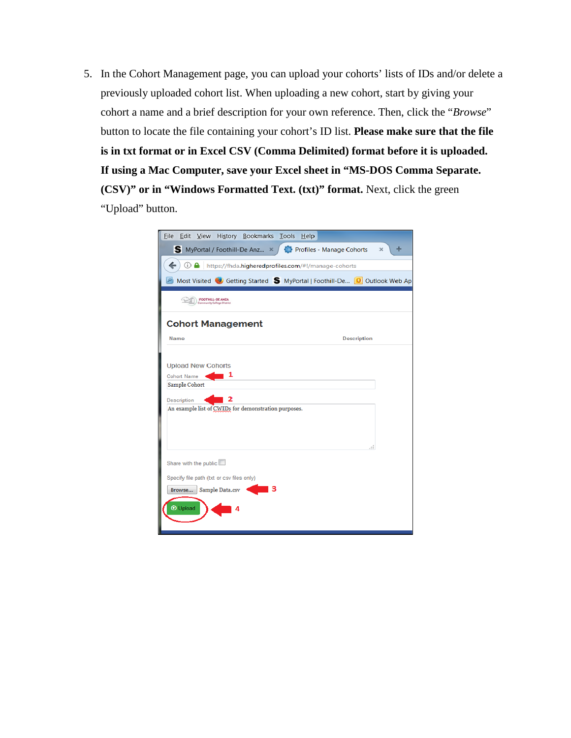5. In the Cohort Management page, you can upload your cohorts' lists of IDs and/or delete a previously uploaded cohort list. When uploading a new cohort, start by giving your cohort a name and a brief description for your own reference. Then, click the "*Browse*" button to locate the file containing your cohort's ID list. **Please make sure that the file is in txt format or in Excel CSV (Comma Delimited) format before it is uploaded. If using a Mac Computer, save your Excel sheet in "MS-DOS Comma Separate. (CSV)" or in "Windows Formatted Text. (txt)" format.** Next, click the green "Upload" button.

| Eile Edit View History Bookmarks Tools Help                                                                                                         |               |
|-----------------------------------------------------------------------------------------------------------------------------------------------------|---------------|
| Profiles - Manage Cohorts<br>S MyPortal / Foothill-De Anz ×                                                                                         | +<br>$\times$ |
|                                                                                                                                                     |               |
| $\odot$ A<br>https://fhda.higheredprofiles.com/#!/manage-cohorts                                                                                    |               |
| Most Visited Collectting Started S MyPortal   Foothill-De O Outlook Web Ap                                                                          |               |
| <b>FOOTHILL-DE ANZA</b><br>Community College District                                                                                               |               |
| <b>Cohort Management</b>                                                                                                                            |               |
| Name<br><b>Description</b>                                                                                                                          |               |
| <b>Upload New Cohorts</b><br>1<br><b>Cohort Name</b><br>Sample Cohort<br><b>Description</b><br>An example list of CWIDs for demonstration purposes. | лÍ.           |
| Share with the public<br>Specify file path (txt or csv files only)<br>з<br>Sample Data.csv<br>Browse<br><b>O</b> Upload                             |               |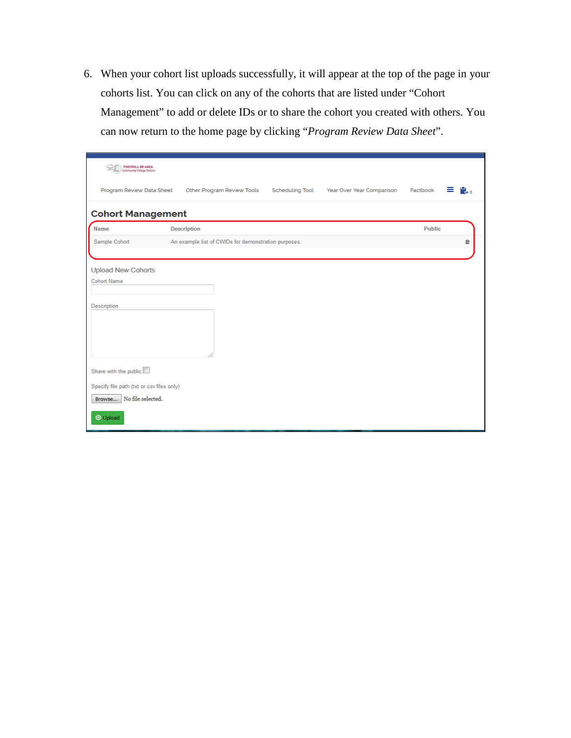6. When your cohort list uploads successfully, it will appear at the top of the page in your cohorts list. You can click on any of the cohorts that are listed under "Cohort Management" to add or delete IDs or to share the cohort you created with others. You can now return to the home page by clicking "*Program Review Data Sheet*".

| <b>FOOTHILL-DE ANZA</b><br>Community College District |                                                      |                        |                           |               |    |
|-------------------------------------------------------|------------------------------------------------------|------------------------|---------------------------|---------------|----|
| Program Review Data Sheet                             | Other Program Review Tools                           | <b>Scheduling Tool</b> | Year Over Year Comparison | Factbook<br>≡ | Н. |
| <b>Cohort Management</b>                              |                                                      |                        |                           |               |    |
| Name                                                  | <b>Description</b>                                   |                        |                           | Public        |    |
| Sample Cohort                                         | An example list of CWIDs for demonstration purposes. |                        |                           |               | û  |
|                                                       |                                                      |                        |                           |               |    |
| <b>Upload New Cohorts</b>                             |                                                      |                        |                           |               |    |
| <b>Cohort Name</b>                                    |                                                      |                        |                           |               |    |
| Description                                           |                                                      |                        |                           |               |    |
|                                                       |                                                      |                        |                           |               |    |
|                                                       |                                                      |                        |                           |               |    |
|                                                       |                                                      |                        |                           |               |    |
|                                                       | $\mathbb{R}^2$                                       |                        |                           |               |    |
| Share with the public                                 |                                                      |                        |                           |               |    |
| Specify file path (txt or csv files only)             |                                                      |                        |                           |               |    |
| No file selected.<br>Browse                           |                                                      |                        |                           |               |    |
| <b>O</b> Upload                                       |                                                      |                        |                           |               |    |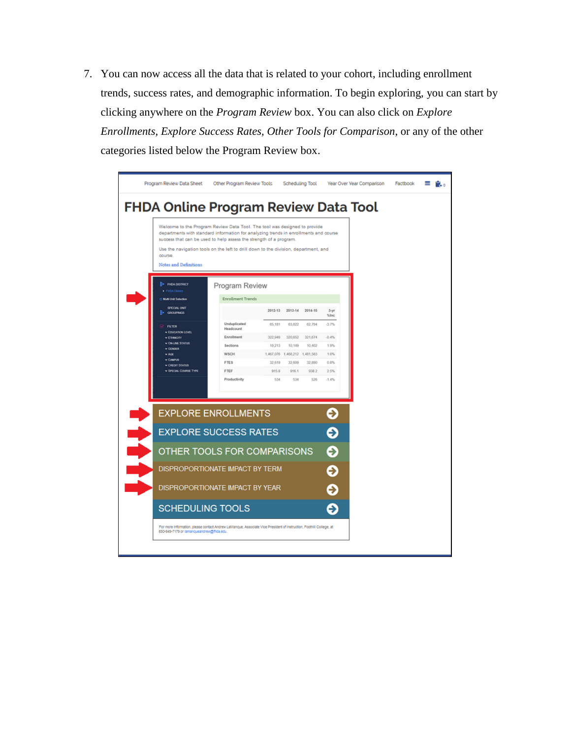7. You can now access all the data that is related to your cohort, including enrollment trends, success rates, and demographic information. To begin exploring, you can start by clicking anywhere on the *Program Review* box. You can also click on *Explore Enrollments, Explore Success Rates, Other Tools for Comparison*, or any of the other categories listed below the Program Review box.

| <b>FHDA Online Program Review Data Tool</b><br>Welcome to the Program Review Data Tool. The tool was designed to provide<br>departments with standard information for analyzing trends in enrollments and course<br>success that can be used to help assess the strength of a program.<br>Use the navigation tools on the left to drill down to the division, department, and<br>course<br>Notes and Definitions<br><b>B</b> PIDADISTRICT<br>Program Review<br><b>PHDA District</b><br><b>Enrollment Trends</b><br>O Multi-Unit Selection<br>SPECIAL UNIT<br>2012-13 2013-14 2014-15<br>$3-yr$<br>GROUPINGS<br>%he<br>Unduplicated<br>65,181<br>63,822<br>62,794<br>$-3.7%$<br><b>FILTER</b><br>Headcount<br><b>EDUCATION LEVEL</b><br>Enrollment<br>322,949<br>320,652<br>321,674<br>$-0.4%$<br>$=$ ETHNGTT<br>- ON-UNE STATUS<br>Sections<br>10,213<br>10,149<br>10,402<br>1.9%<br>$\times$ GENEER<br><b>WSCH</b><br>1,467,076 1,468,212 1,481,583<br>1.0%<br>$v$ AGE<br>$-$ CANPUS<br>FTES<br>32,609<br>32,890<br>0.8%<br>32.619<br>v Cernit Status<br>- SPECIAL COURSE TYPE<br>FTEF<br>915.8<br>916.1<br>938.2<br>2.5%<br>526<br>Productivity<br>534<br>534<br>.1.4%<br>Ð<br><b>EXPLORE ENROLLMENTS</b><br><b>EXPLORE SUCCESS RATES</b><br>Ð<br>ଈ<br>OTHER TOOLS FOR COMPARISONS<br>DISPROPORTIONATE IMPACT BY TERM<br>€<br>DISPROPORTIONATE IMPACT BY YEAR<br>Đ<br><b>SCHEDULING TOOLS</b><br>Ð | Program Review Data Sheet               | Other Program Review Tools |  | Scheduling Tool |  |  | Year Over Year Comparison | Factbook |  |
|------------------------------------------------------------------------------------------------------------------------------------------------------------------------------------------------------------------------------------------------------------------------------------------------------------------------------------------------------------------------------------------------------------------------------------------------------------------------------------------------------------------------------------------------------------------------------------------------------------------------------------------------------------------------------------------------------------------------------------------------------------------------------------------------------------------------------------------------------------------------------------------------------------------------------------------------------------------------------------------------------------------------------------------------------------------------------------------------------------------------------------------------------------------------------------------------------------------------------------------------------------------------------------------------------------------------------------------------------------------------------------------------------|-----------------------------------------|----------------------------|--|-----------------|--|--|---------------------------|----------|--|
|                                                                                                                                                                                                                                                                                                                                                                                                                                                                                                                                                                                                                                                                                                                                                                                                                                                                                                                                                                                                                                                                                                                                                                                                                                                                                                                                                                                                      |                                         |                            |  |                 |  |  |                           |          |  |
|                                                                                                                                                                                                                                                                                                                                                                                                                                                                                                                                                                                                                                                                                                                                                                                                                                                                                                                                                                                                                                                                                                                                                                                                                                                                                                                                                                                                      |                                         |                            |  |                 |  |  |                           |          |  |
|                                                                                                                                                                                                                                                                                                                                                                                                                                                                                                                                                                                                                                                                                                                                                                                                                                                                                                                                                                                                                                                                                                                                                                                                                                                                                                                                                                                                      |                                         |                            |  |                 |  |  |                           |          |  |
|                                                                                                                                                                                                                                                                                                                                                                                                                                                                                                                                                                                                                                                                                                                                                                                                                                                                                                                                                                                                                                                                                                                                                                                                                                                                                                                                                                                                      |                                         |                            |  |                 |  |  |                           |          |  |
|                                                                                                                                                                                                                                                                                                                                                                                                                                                                                                                                                                                                                                                                                                                                                                                                                                                                                                                                                                                                                                                                                                                                                                                                                                                                                                                                                                                                      |                                         |                            |  |                 |  |  |                           |          |  |
|                                                                                                                                                                                                                                                                                                                                                                                                                                                                                                                                                                                                                                                                                                                                                                                                                                                                                                                                                                                                                                                                                                                                                                                                                                                                                                                                                                                                      |                                         |                            |  |                 |  |  |                           |          |  |
|                                                                                                                                                                                                                                                                                                                                                                                                                                                                                                                                                                                                                                                                                                                                                                                                                                                                                                                                                                                                                                                                                                                                                                                                                                                                                                                                                                                                      |                                         |                            |  |                 |  |  |                           |          |  |
|                                                                                                                                                                                                                                                                                                                                                                                                                                                                                                                                                                                                                                                                                                                                                                                                                                                                                                                                                                                                                                                                                                                                                                                                                                                                                                                                                                                                      |                                         |                            |  |                 |  |  |                           |          |  |
|                                                                                                                                                                                                                                                                                                                                                                                                                                                                                                                                                                                                                                                                                                                                                                                                                                                                                                                                                                                                                                                                                                                                                                                                                                                                                                                                                                                                      |                                         |                            |  |                 |  |  |                           |          |  |
|                                                                                                                                                                                                                                                                                                                                                                                                                                                                                                                                                                                                                                                                                                                                                                                                                                                                                                                                                                                                                                                                                                                                                                                                                                                                                                                                                                                                      |                                         |                            |  |                 |  |  |                           |          |  |
|                                                                                                                                                                                                                                                                                                                                                                                                                                                                                                                                                                                                                                                                                                                                                                                                                                                                                                                                                                                                                                                                                                                                                                                                                                                                                                                                                                                                      |                                         |                            |  |                 |  |  |                           |          |  |
|                                                                                                                                                                                                                                                                                                                                                                                                                                                                                                                                                                                                                                                                                                                                                                                                                                                                                                                                                                                                                                                                                                                                                                                                                                                                                                                                                                                                      |                                         |                            |  |                 |  |  |                           |          |  |
|                                                                                                                                                                                                                                                                                                                                                                                                                                                                                                                                                                                                                                                                                                                                                                                                                                                                                                                                                                                                                                                                                                                                                                                                                                                                                                                                                                                                      |                                         |                            |  |                 |  |  |                           |          |  |
|                                                                                                                                                                                                                                                                                                                                                                                                                                                                                                                                                                                                                                                                                                                                                                                                                                                                                                                                                                                                                                                                                                                                                                                                                                                                                                                                                                                                      |                                         |                            |  |                 |  |  |                           |          |  |
|                                                                                                                                                                                                                                                                                                                                                                                                                                                                                                                                                                                                                                                                                                                                                                                                                                                                                                                                                                                                                                                                                                                                                                                                                                                                                                                                                                                                      |                                         |                            |  |                 |  |  |                           |          |  |
|                                                                                                                                                                                                                                                                                                                                                                                                                                                                                                                                                                                                                                                                                                                                                                                                                                                                                                                                                                                                                                                                                                                                                                                                                                                                                                                                                                                                      |                                         |                            |  |                 |  |  |                           |          |  |
|                                                                                                                                                                                                                                                                                                                                                                                                                                                                                                                                                                                                                                                                                                                                                                                                                                                                                                                                                                                                                                                                                                                                                                                                                                                                                                                                                                                                      |                                         |                            |  |                 |  |  |                           |          |  |
|                                                                                                                                                                                                                                                                                                                                                                                                                                                                                                                                                                                                                                                                                                                                                                                                                                                                                                                                                                                                                                                                                                                                                                                                                                                                                                                                                                                                      |                                         |                            |  |                 |  |  |                           |          |  |
|                                                                                                                                                                                                                                                                                                                                                                                                                                                                                                                                                                                                                                                                                                                                                                                                                                                                                                                                                                                                                                                                                                                                                                                                                                                                                                                                                                                                      | 650-949-7179 or lamanqueandrew@mda.edu. |                            |  |                 |  |  |                           |          |  |
|                                                                                                                                                                                                                                                                                                                                                                                                                                                                                                                                                                                                                                                                                                                                                                                                                                                                                                                                                                                                                                                                                                                                                                                                                                                                                                                                                                                                      |                                         |                            |  |                 |  |  |                           |          |  |
| For more information, please contact Andrew LaManque, Associate Vice President of Instruction, Foothill College, at                                                                                                                                                                                                                                                                                                                                                                                                                                                                                                                                                                                                                                                                                                                                                                                                                                                                                                                                                                                                                                                                                                                                                                                                                                                                                  |                                         |                            |  |                 |  |  |                           |          |  |
|                                                                                                                                                                                                                                                                                                                                                                                                                                                                                                                                                                                                                                                                                                                                                                                                                                                                                                                                                                                                                                                                                                                                                                                                                                                                                                                                                                                                      |                                         |                            |  |                 |  |  |                           |          |  |